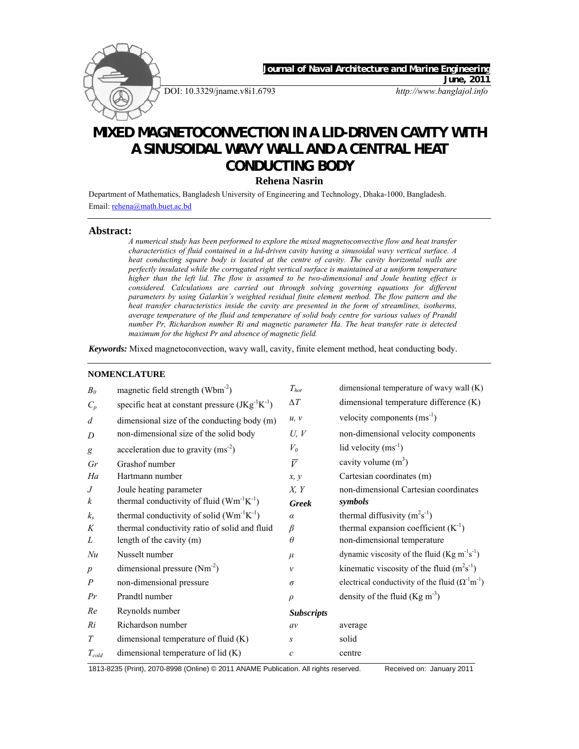

**CONDUCTING BODY** 

**Rehena Nasrin** 

Department of Mathematics, Bangladesh University of Engineering and Technology, Dhaka-1000, Bangladesh. Email: rehena@math.buet.ac.bd

#### **Abstract:**

*A numerical study has been performed to explore the mixed magnetoconvective flow and heat transfer characteristics of fluid contained in a lid-driven cavity having a sinusoidal wavy vertical surface. A heat conducting square body is located at the centre of cavity. The cavity horizontal walls are perfectly insulated while the corrugated right vertical surface is maintained at a uniform temperature higher than the left lid. The flow is assumed to be two-dimensional and Joule heating effect is considered. Calculations are carried out through solving governing equations for different parameters by using Galarkin's weighted residual finite element method. The flow pattern and the*  heat transfer characteristics inside the cavity are presented in the form of streamlines, isotherms, *average temperature of the fluid and temperature of solid body centre for various values of Prandtl number Pr, Richardson number Ri and magnetic parameter Ha. The heat transfer rate is detected maximum for the highest Pr and absence of magnetic field.* 

*Keywords:* Mixed magnetoconvection, wavy wall, cavity, finite element method, heat conducting body.

### **NOMENCLATURE**

| B <sub>0</sub>   | magnetic field strength (Wbm <sup>-2</sup> )          | $T_{hot}$         | dimensional temperature of wavy wall (K)                                 |
|------------------|-------------------------------------------------------|-------------------|--------------------------------------------------------------------------|
| $C_p$            | specific heat at constant pressure $(JKg^{-1}K^{-1})$ | $\Delta T$        | dimensional temperature difference (K)                                   |
| $\overline{d}$   | dimensional size of the conducting body (m)           | u, v              | velocity components $(ms^{-1})$                                          |
| D                | non-dimensional size of the solid body                | U, V              | non-dimensional velocity components                                      |
| g                | acceleration due to gravity $(ms-2)$                  | $V_{\theta}$      | lid velocity $(ms^{-1})$                                                 |
| Gr               | Grashof number                                        | $\bar{V}$         | cavity volume $(m^3)$                                                    |
| Ha               | Hartmann number                                       | x, y              | Cartesian coordinates (m)                                                |
| $\,$ J           | Joule heating parameter                               | X, Y              | non-dimensional Cartesian coordinates                                    |
| $\boldsymbol{k}$ | thermal conductivity of fluid $(Wm^{-1}K^{-1})$       | <b>Greek</b>      | symbols                                                                  |
| $k_{s}$          | thermal conductivity of solid $(Wm^{-1}K^{-1})$       | $\alpha$          | thermal diffusivity $(m^2s^{-1})$                                        |
| K                | thermal conductivity ratio of solid and fluid         | $\beta$           | thermal expansion coefficient $(K^{-1})$                                 |
| L                | length of the cavity (m)                              | $\theta$          | non-dimensional temperature                                              |
| Nu               | Nusselt number                                        | $\mu$             | dynamic viscosity of the fluid $(Kg m-1s-1)$                             |
| $\boldsymbol{p}$ | dimensional pressure $(Nm^{-2})$                      | $\mathcal{V}$     | kinematic viscosity of the fluid $(m2s-1)$                               |
| $\boldsymbol{P}$ | non-dimensional pressure                              | $\sigma$          | electrical conductivity of the fluid $(\Omega^{\text{-1}}m^{\text{-1}})$ |
| Pr               | Prandtl number                                        | $\rho$            | density of the fluid $(Kg m-3)$                                          |
| Re               | Reynolds number                                       | <b>Subscripts</b> |                                                                          |
| Ri               | Richardson number                                     | av                | average                                                                  |
| T                | dimensional temperature of fluid (K)                  | S                 | solid                                                                    |
| $T_{cold}$       | dimensional temperature of $lid(K)$                   | $\mathcal{C}$     | centre                                                                   |

1813-8235 (Print), 2070-8998 (Online) © 2011 ANAME Publication. All rights reserved. Received on: January 2011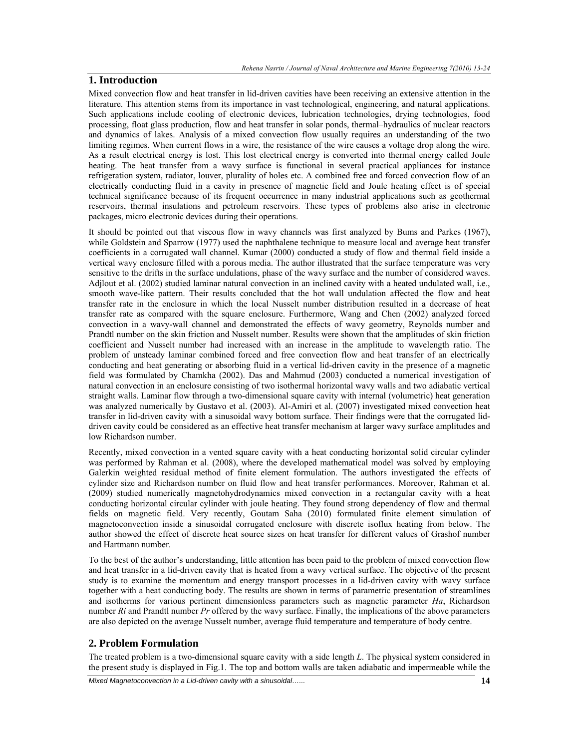# **1. Introduction**

Mixed convection flow and heat transfer in lid-driven cavities have been receiving an extensive attention in the literature. This attention stems from its importance in vast technological, engineering, and natural applications. Such applications include cooling of electronic devices, lubrication technologies, drying technologies, food processing, float glass production, flow and heat transfer in solar ponds, thermal–hydraulics of nuclear reactors and dynamics of lakes. Analysis of a mixed convection flow usually requires an understanding of the two limiting regimes. When current flows in a wire, the resistance of the wire causes a voltage drop along the wire. As a result electrical energy is lost. This lost electrical energy is converted into thermal energy called Joule heating. The heat transfer from a wavy surface is functional in several practical appliances for instance refrigeration system, radiator, louver, plurality of holes etc. A combined free and forced convection flow of an electrically conducting fluid in a cavity in presence of magnetic field and Joule heating effect is of special technical significance because of its frequent occurrence in many industrial applications such as geothermal reservoirs, thermal insulations and petroleum reservoirs. These types of problems also arise in electronic packages, micro electronic devices during their operations.

It should be pointed out that viscous flow in wavy channels was first analyzed by Bums and Parkes (1967), while Goldstein and Sparrow (1977) used the naphthalene technique to measure local and average heat transfer coefficients in a corrugated wall channel. Kumar (2000) conducted a study of flow and thermal field inside a vertical wavy enclosure filled with a porous media. The author illustrated that the surface temperature was very sensitive to the drifts in the surface undulations, phase of the wavy surface and the number of considered waves. Adjlout et al. (2002) studied laminar natural convection in an inclined cavity with a heated undulated wall, i.e., smooth wave-like pattern. Their results concluded that the hot wall undulation affected the flow and heat transfer rate in the enclosure in which the local Nusselt number distribution resulted in a decrease of heat transfer rate as compared with the square enclosure. Furthermore, Wang and Chen (2002) analyzed forced convection in a wavy-wall channel and demonstrated the effects of wavy geometry, Reynolds number and Prandtl number on the skin friction and Nusselt number. Results were shown that the amplitudes of skin friction coefficient and Nusselt number had increased with an increase in the amplitude to wavelength ratio. The problem of unsteady laminar combined forced and free convection flow and heat transfer of an electrically conducting and heat generating or absorbing fluid in a vertical lid-driven cavity in the presence of a magnetic field was formulated by Chamkha (2002). Das and Mahmud (2003) conducted a numerical investigation of natural convection in an enclosure consisting of two isothermal horizontal wavy walls and two adiabatic vertical straight walls. Laminar flow through a two-dimensional square cavity with internal (volumetric) heat generation was analyzed numerically by Gustavo et al. (2003). Al-Amiri et al. (2007) investigated mixed convection heat transfer in lid-driven cavity with a sinusoidal wavy bottom surface. Their findings were that the corrugated liddriven cavity could be considered as an effective heat transfer mechanism at larger wavy surface amplitudes and low Richardson number.

Recently, mixed convection in a vented square cavity with a heat conducting horizontal solid circular cylinder was performed by Rahman et al. (2008), where the developed mathematical model was solved by employing Galerkin weighted residual method of finite element formulation. The authors investigated the effects of cylinder size and Richardson number on fluid flow and heat transfer performances. Moreover, Rahman et al. (2009) studied numerically magnetohydrodynamics mixed convection in a rectangular cavity with a heat conducting horizontal circular cylinder with joule heating. They found strong dependency of flow and thermal fields on magnetic field. Very recently, Goutam Saha (2010) formulated finite element simulation of magnetoconvection inside a sinusoidal corrugated enclosure with discrete isoflux heating from below. The author showed the effect of discrete heat source sizes on heat transfer for different values of Grashof number and Hartmann number.

To the best of the author's understanding, little attention has been paid to the problem of mixed convection flow and heat transfer in a lid-driven cavity that is heated from a wavy vertical surface. The objective of the present study is to examine the momentum and energy transport processes in a lid-driven cavity with wavy surface together with a heat conducting body. The results are shown in terms of parametric presentation of streamlines and isotherms for various pertinent dimensionless parameters such as magnetic parameter *Ha*, Richardson number *Ri* and Prandtl number *Pr* offered by the wavy surface. Finally, the implications of the above parameters are also depicted on the average Nusselt number, average fluid temperature and temperature of body centre.

## **2. Problem Formulation**

The treated problem is a two-dimensional square cavity with a side length *L*. The physical system considered in the present study is displayed in Fig.1. The top and bottom walls are taken adiabatic and impermeable while the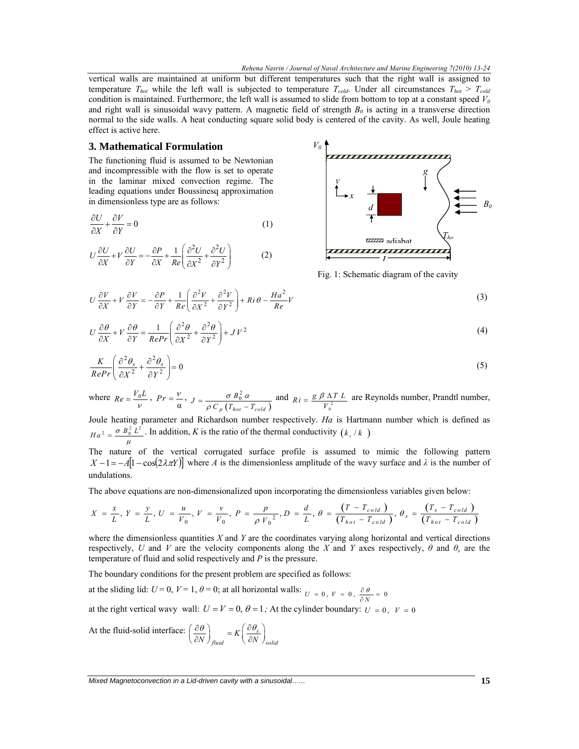vertical walls are maintained at uniform but different temperatures such that the right wall is assigned to temperature  $T_{hot}$  while the left wall is subjected to temperature  $T_{cold}$ . Under all circumstances  $T_{hot} > T_{cold}$ condition is maintained. Furthermore, the left wall is assumed to slide from bottom to top at a constant speed  $V_0$ and right wall is sinusoidal wavy pattern. A magnetic field of strength  $B_0$  is acting in a transverse direction normal to the side walls. A heat conducting square solid body is centered of the cavity. As well, Joule heating effect is active here.

#### **3. Mathematical Formulation**

The functioning fluid is assumed to be Newtonian and incompressible with the flow is set to operate in the laminar mixed convection regime. The leading equations under Boussinesq approximation in dimensionless type are as follows:

$$
\frac{\partial U}{\partial X} + \frac{\partial V}{\partial Y} = 0\tag{1}
$$

$$
U\frac{\partial U}{\partial X} + V\frac{\partial U}{\partial Y} = -\frac{\partial P}{\partial X} + \frac{1}{Re} \left( \frac{\partial^2 U}{\partial X^2} + \frac{\partial^2 U}{\partial Y^2} \right)
$$
 (2)



Fig. 1: Schematic diagram of the cavity

$$
U\frac{\partial V}{\partial X} + V\frac{\partial V}{\partial Y} = -\frac{\partial P}{\partial Y} + \frac{1}{Re} \left( \frac{\partial^2 V}{\partial X^2} + \frac{\partial^2 V}{\partial Y^2} \right) + Ri \theta - \frac{Ha^2}{Re}V
$$
 (3)

$$
U\frac{\partial\theta}{\partial X} + V\frac{\partial\theta}{\partial Y} = \frac{1}{RePr} \left( \frac{\partial^2 \theta}{\partial X^2} + \frac{\partial^2 \theta}{\partial Y^2} \right) + JV^2
$$
 (4)

$$
\frac{K}{RePr}\left(\frac{\partial^2 \theta_s}{\partial X^2} + \frac{\partial^2 \theta_s}{\partial Y^2}\right) = 0
$$
\n(5)

where  $Re = \frac{V_0 L}{V}$ ,  $Pr = \frac{V}{\alpha}$ ,  $(T_{hot} - T_{cold})$  $\frac{2}{0}$  $J = \frac{\sigma B_0^2 \alpha}{\rho C_p (T_{hot} - T_{cold})}$  $=\frac{\sigma B_0^2 \alpha}{\rho C_p (T_{hot} - T_{cold})}$  and  $R_i = \frac{g \beta \Delta T L}{V_0^2}$  are Reynolds number, Prandtl number,

Joule heating parameter and Richardson number respectively. *Ha* is Hartmann number which is defined as  $Ha^2 = \frac{\sigma B_0^2 L^2}{\mu}$ . In addition, *K* is the ratio of the thermal conductivity  $(k_s / k)$ 

The nature of the vertical corrugated surface profile is assumed to mimic the following pattern  $X - 1 = -A[1 - \cos(2\lambda \pi Y)]$  where *A* is the dimensionless amplitude of the wavy surface and  $\lambda$  is the number of undulations.

The above equations are non-dimensionalized upon incorporating the dimensionless variables given below:

$$
X = \frac{x}{L}, Y = \frac{y}{L}, U = \frac{u}{V_0}, V = \frac{v}{V_0}, P = \frac{p}{\rho V_0^2}, D = \frac{d}{L}, \theta = \frac{(T - T_{cold})}{(T_{hot} - T_{cold})}, \theta_s = \frac{(T_s - T_{cold})}{(T_{hot} - T_{cold})}
$$

where the dimensionless quantities *X* and *Y* are the coordinates varying along horizontal and vertical directions respectively, *U* and *V* are the velocity components along the *X* and *Y* axes respectively,  $\theta$  and  $\theta_s$  are the temperature of fluid and solid respectively and *P* is the pressure.

The boundary conditions for the present problem are specified as follows:

at the sliding lid:  $U = 0$ ,  $V = 1$ ,  $\theta = 0$ ; at all horizontal walls:  $U = 0$ ,  $V = 0$ ,  $\frac{\partial \theta}{\partial N} = 0$ 

at the right vertical wavy wall:  $U = V = 0$ ,  $\theta = 1$ ; At the cylinder boundary:  $U = 0$ ,  $V = 0$ 

At the fluid-solid interface:  $\left(\begin{array}{c} \mathcal{O}\mathcal{H} \\ \mathcal{O}\end{array}\right) = K \left(\begin{array}{c} \mathcal{O}\mathcal{H}_s \\ \mathcal{O}\end{array}\right)$ *fluid*  $\langle U^N \rangle$  *solid*  $\left(\frac{\partial \theta}{\partial N}\right)_{fluid} = K \left(\frac{\partial \theta_s}{\partial N}\right)_{field}$ 

*Mixed Magnetoconvection in a Lid-driven cavity with a sinusoidal…...* **15**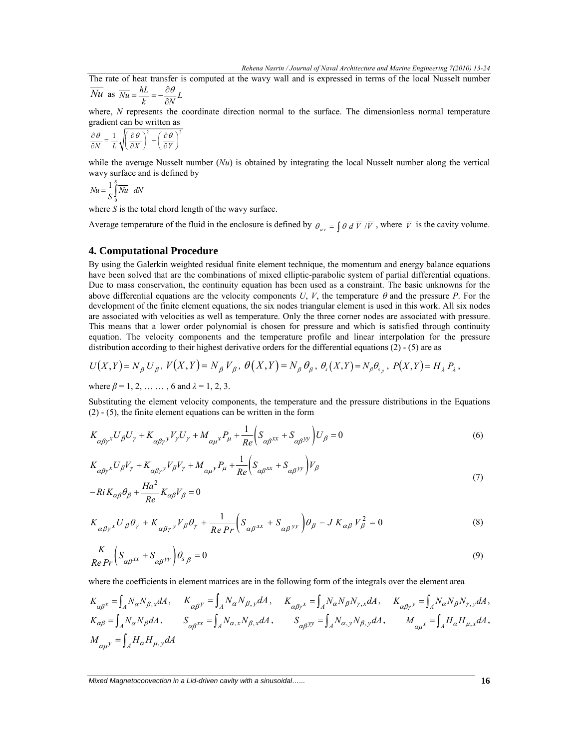The rate of heat transfer is computed at the wavy wall and is expressed in terms of the local Nusselt number  $\overline{Nu}$  as  $\overline{Nu} = \frac{hL}{h} = -\frac{\partial \theta}{\partial x}L$ 

$$
\overline{Nu} \text{ as } \overline{Nu} = \frac{hL}{k} = -\frac{\partial \theta}{\partial N}L
$$

where, *N* represents the coordinate direction normal to the surface. The dimensionless normal temperature gradient can be written as

$$
\frac{\partial \theta}{\partial N} = \frac{1}{L} \sqrt{\left(\frac{\partial \theta}{\partial X}\right)^2 + \left(\frac{\partial \theta}{\partial Y}\right)^2}
$$

while the average Nusselt number (*Nu*) is obtained by integrating the local Nusselt number along the vertical wavy surface and is defined by

$$
Nu = \frac{1}{S} \int_{0}^{S} \overline{Nu} \ dN
$$

where *S* is the total chord length of the wavy surface.

Average temperature of the fluid in the enclosure is defined by  $\theta_{av} = \int \theta \, d\overline{V}/\overline{V}$ , where  $\overline{V}$  is the cavity volume.

#### **4. Computational Procedure**

By using the Galerkin weighted residual finite element technique, the momentum and energy balance equations have been solved that are the combinations of mixed elliptic-parabolic system of partial differential equations. Due to mass conservation, the continuity equation has been used as a constraint. The basic unknowns for the above differential equations are the velocity components  $U, V$ , the temperature  $\theta$  and the pressure  $P$ . For the development of the finite element equations, the six nodes triangular element is used in this work. All six nodes are associated with velocities as well as temperature. Only the three corner nodes are associated with pressure. This means that a lower order polynomial is chosen for pressure and which is satisfied through continuity equation. The velocity components and the temperature profile and linear interpolation for the pressure distribution according to their highest derivative orders for the differential equations (2) - (5) are as

$$
U(X,Y) = N_{\beta} U_{\beta}, V(X,Y) = N_{\beta} V_{\beta}, \theta(X,Y) = N_{\beta} \theta_{\beta}, \theta_{s}(X,Y) = N_{\beta} \theta_{s_{\beta}}, P(X,Y) = H_{\lambda} P_{\lambda},
$$

where  $\beta = 1, 2, \dots, 6$  and  $\lambda = 1, 2, 3$ .

Substituting the element velocity components, the temperature and the pressure distributions in the Equations (2) - (5), the finite element equations can be written in the form

$$
K_{\alpha\beta\gamma}U_{\beta}U_{\gamma} + K_{\alpha\beta\gamma}V_{\gamma}U_{\gamma} + M_{\alpha\mu}P_{\mu} + \frac{1}{Re}\left(S_{\alpha\beta}X} + S_{\alpha\beta}Y_{\gamma}\right)U_{\beta} = 0
$$
\n<sup>(6)</sup>

$$
K_{\alpha\beta\gamma}U_{\beta}V_{\gamma} + K_{\alpha\beta\gamma}V_{\beta}V_{\gamma} + M_{\alpha\mu}V_{\mu} + \frac{1}{Re}\left(S_{\alpha\beta}XX} + S_{\alpha\beta}V_{\beta}\right)V_{\beta}
$$
\n(7)

$$
-Ri K_{\alpha\beta}\theta_{\beta} + \frac{Ha^2}{Re} K_{\alpha\beta}V_{\beta} = 0
$$

$$
K_{\alpha\beta\gamma}{}^{x}U_{\beta}\theta_{\gamma} + K_{\alpha\beta\gamma}{}^{y}V_{\beta}\theta_{\gamma} + \frac{1}{Re\Pr}\left(S_{\alpha\beta}{}^{xx} + S_{\alpha\beta}{}^{yy}\right)\theta_{\beta} - J K_{\alpha\beta}V_{\beta}^{2} = 0
$$
\n<sup>(8)</sup>

$$
\frac{K}{Re\Pr} \left( S_{\alpha\beta^{XX}} + S_{\alpha\beta^{yy}} \right) \theta_{s\beta} = 0 \tag{9}
$$

where the coefficients in element matrices are in the following form of the integrals over the element area

$$
\begin{split} &K_{\alpha\beta^x}=\int_{A}N_{\alpha}N_{\beta,x}dA\,,\qquad K_{\alpha\beta^y}=\int_{A}N_{\alpha}N_{\beta,y}dA\,,\qquad K_{\alpha\beta\gamma^x}=\int_{A}N_{\alpha}N_{\beta}N_{\gamma,x}dA\,,\qquad K_{\alpha\beta\gamma^y}=\int_{A}N_{\alpha}N_{\beta}N_{\gamma,y}dA\,,\\ &K_{\alpha\beta}=\int_{A}N_{\alpha}N_{\beta}dA\,,\qquad\quad S_{\alpha\beta^{XX}}=\int_{A}N_{\alpha,x}N_{\beta,x}dA\,,\qquad\quad S_{\alpha\beta^{yy}}=\int_{A}N_{\alpha,y}N_{\beta,y}dA\,,\qquad\quad M_{\alpha\mu^x}=\int_{A}H_{\alpha}H_{\mu,x}dA\,,\\ &M_{\alpha\mu^y}=\int_{A}H_{\alpha}H_{\mu,y}dA\end{split}
$$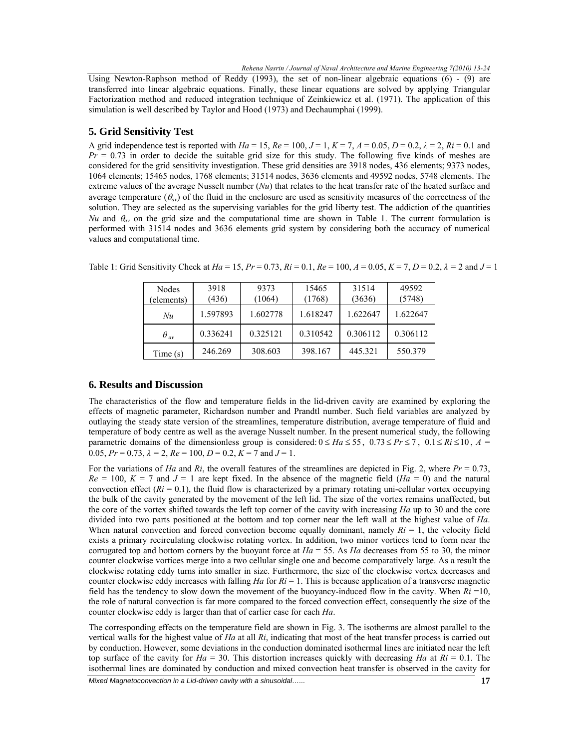Using Newton-Raphson method of Reddy (1993), the set of non-linear algebraic equations (6) - (9) are transferred into linear algebraic equations. Finally, these linear equations are solved by applying Triangular Factorization method and reduced integration technique of Zeinkiewicz et al. (1971). The application of this simulation is well described by Taylor and Hood (1973) and Dechaumphai (1999).

## **5. Grid Sensitivity Test**

A grid independence test is reported with  $Ha = 15$ ,  $Re = 100$ ,  $J = 1$ ,  $K = 7$ ,  $A = 0.05$ ,  $D = 0.2$ ,  $\lambda = 2$ ,  $Ri = 0.1$  and *Pr* = 0.73 in order to decide the suitable grid size for this study. The following five kinds of meshes are considered for the grid sensitivity investigation. These grid densities are 3918 nodes, 436 elements; 9373 nodes, 1064 elements; 15465 nodes, 1768 elements; 31514 nodes, 3636 elements and 49592 nodes, 5748 elements. The extreme values of the average Nusselt number (*Nu*) that relates to the heat transfer rate of the heated surface and average temperature  $(\theta_{av})$  of the fluid in the enclosure are used as sensitivity measures of the correctness of the solution. They are selected as the supervising variables for the grid liberty test. The addiction of the quantities *Nu* and  $\theta_{av}$  on the grid size and the computational time are shown in Table 1. The current formulation is performed with 31514 nodes and 3636 elements grid system by considering both the accuracy of numerical values and computational time.

| Nodes<br>elements) | 3918<br>(436) | 9373<br>(1064) | 15465<br>(1768) | 31514<br>(3636) | 49592<br>(5748) |
|--------------------|---------------|----------------|-----------------|-----------------|-----------------|
| Nu                 | 1.597893      | 1.602778       | 1.618247        | 1.622647        | 1.622647        |
| $\theta_{av}$      | 0.336241      | 0.325121       | 0.310542        | 0.306112        | 0.306112        |
| Time(s)            | 246.269       | 308.603        | 398.167         | 445.321         | 550.379         |

Table 1: Grid Sensitivity Check at *Ha* = 15, *Pr* = 0.73, *Ri* = 0.1, *Re* = 100, *A* = 0.05, *K* = 7, *D* = 0.2, *λ =* 2 and *J* = 1

## **6. Results and Discussion**

The characteristics of the flow and temperature fields in the lid-driven cavity are examined by exploring the effects of magnetic parameter, Richardson number and Prandtl number. Such field variables are analyzed by outlaying the steady state version of the streamlines, temperature distribution, average temperature of fluid and temperature of body centre as well as the average Nusselt number. In the present numerical study, the following parametric domains of the dimensionless group is considered:  $0 \leq Ha \leq 55$ ,  $0.73 \leq Pr \leq 7$ ,  $0.1 \leq Ri \leq 10$ ,  $A =$ 0.05,  $Pr = 0.73$ ,  $\lambda = 2$ ,  $Re = 100$ ,  $D = 0.2$ ,  $K = 7$  and  $J = 1$ .

For the variations of *Ha* and *Ri*, the overall features of the streamlines are depicted in Fig. 2, where *Pr* = 0.73,  $Re = 100$ ,  $K = 7$  and  $J = 1$  are kept fixed. In the absence of the magnetic field ( $Ha = 0$ ) and the natural convection effect  $(Ri = 0.1)$ , the fluid flow is characterized by a primary rotating uni-cellular vortex occupying the bulk of the cavity generated by the movement of the left lid. The size of the vortex remains unaffected, but the core of the vortex shifted towards the left top corner of the cavity with increasing *Ha* up to 30 and the core divided into two parts positioned at the bottom and top corner near the left wall at the highest value of *Ha*. When natural convection and forced convection become equally dominant, namely  $Ri = 1$ , the velocity field exists a primary recirculating clockwise rotating vortex. In addition, two minor vortices tend to form near the corrugated top and bottom corners by the buoyant force at *Ha* = 55. As *Ha* decreases from 55 to 30, the minor counter clockwise vortices merge into a two cellular single one and become comparatively large. As a result the clockwise rotating eddy turns into smaller in size. Furthermore, the size of the clockwise vortex decreases and counter clockwise eddy increases with falling *Ha* for *Ri* = 1. This is because application of a transverse magnetic field has the tendency to slow down the movement of the buoyancy-induced flow in the cavity. When  $Ri = 10$ , the role of natural convection is far more compared to the forced convection effect, consequently the size of the counter clockwise eddy is larger than that of earlier case for each *Ha*.

The corresponding effects on the temperature field are shown in Fig. 3. The isotherms are almost parallel to the vertical walls for the highest value of *Ha* at all *Ri*, indicating that most of the heat transfer process is carried out by conduction. However, some deviations in the conduction dominated isothermal lines are initiated near the left top surface of the cavity for  $Ha = 30$ . This distortion increases quickly with decreasing *Ha* at  $Ri = 0.1$ . The isothermal lines are dominated by conduction and mixed convection heat transfer is observed in the cavity for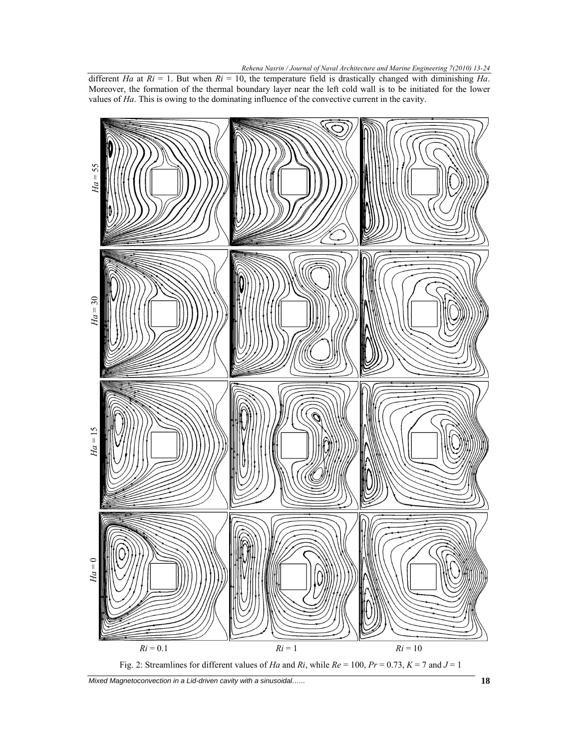different *Ha* at  $Ri = 1$ . But when  $Ri = 10$ , the temperature field is drastically changed with diminishing *Ha*. Moreover, the formation of the thermal boundary layer near the left cold wall is to be initiated for the lower values of *Ha*. This is owing to the dominating influence of the convective current in the cavity.



*Mixed Magnetoconvection in a Lid-driven cavity with a sinusoidal…...* **18**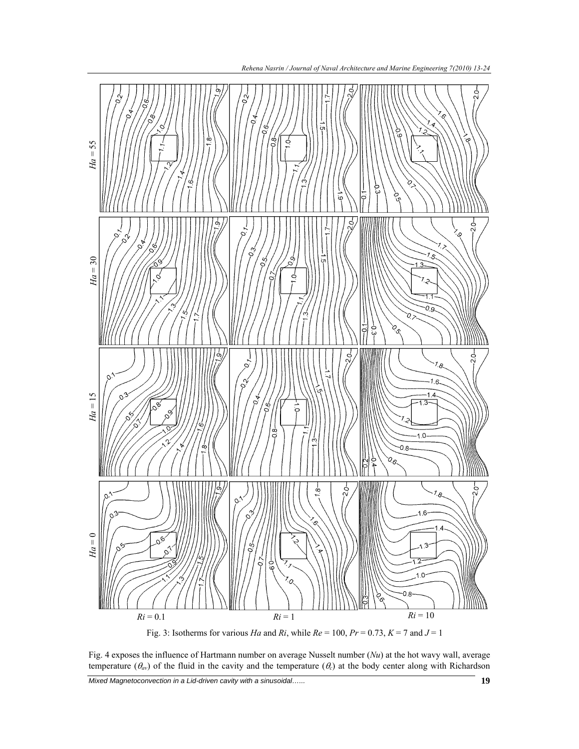

Fig. 3: Isotherms for various *Ha* and *Ri*, while  $Re = 100$ ,  $Pr = 0.73$ ,  $K = 7$  and  $J = 1$ 

Fig. 4 exposes the influence of Hartmann number on average Nusselt number (*Nu*) at the hot wavy wall, average temperature  $(\theta_{av})$  of the fluid in the cavity and the temperature  $(\theta_c)$  at the body center along with Richardson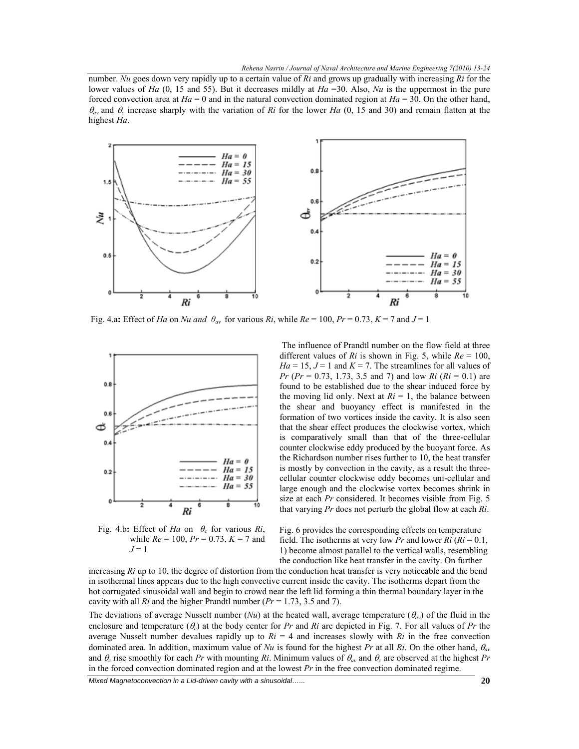number. *Nu* goes down very rapidly up to a certain value of *Ri* and grows up gradually with increasing *Ri* for the lower values of *Ha* (0, 15 and 55). But it decreases mildly at *Ha* =30. Also, *Nu* is the uppermost in the pure forced convection area at  $Ha = 0$  and in the natural convection dominated region at  $Ha = 30$ . On the other hand, <sup>θ</sup>*av* and θ*c* increase sharply with the variation of *Ri* for the lower *Ha* (0, 15 and 30) and remain flatten at the highest *Ha*.



Fig. 4.a: Effect of *Ha* on *Nu and*  $\theta_{av}$  for various *Ri*, while  $Re = 100$ ,  $Pr = 0.73$ ,  $K = 7$  and  $J = 1$ 



Fig. 4.b: Effect of *Ha* on  $\theta_c$  for various *Ri*, while  $Re = 100$ ,  $Pr = 0.73$ ,  $K = 7$  and  $J=1$ 

 The influence of Prandtl number on the flow field at three different values of *Ri* is shown in Fig. 5, while *Re* = 100,  $Ha = 15$ ,  $J = 1$  and  $K = 7$ . The streamlines for all values of *Pr* (*Pr* = 0.73, 1.73, 3.5 and 7) and low *Ri* (*Ri* = 0.1) are found to be established due to the shear induced force by the moving lid only. Next at  $Ri = 1$ , the balance between the shear and buoyancy effect is manifested in the formation of two vortices inside the cavity. It is also seen that the shear effect produces the clockwise vortex, which is comparatively small than that of the three-cellular counter clockwise eddy produced by the buoyant force. As the Richardson number rises further to 10, the heat transfer is mostly by convection in the cavity, as a result the threecellular counter clockwise eddy becomes uni-cellular and large enough and the clockwise vortex becomes shrink in size at each *Pr* considered. It becomes visible from Fig. 5 that varying *Pr* does not perturb the global flow at each *Ri*.

Fig. 6 provides the corresponding effects on temperature field. The isotherms at very low *Pr* and lower  $R_i$  ( $R_i = 0.1$ , 1) become almost parallel to the vertical walls, resembling the conduction like heat transfer in the cavity. On further

increasing *Ri* up to 10, the degree of distortion from the conduction heat transfer is very noticeable and the bend in isothermal lines appears due to the high convective current inside the cavity. The isotherms depart from the hot corrugated sinusoidal wall and begin to crowd near the left lid forming a thin thermal boundary layer in the cavity with all *Ri* and the higher Prandtl number (*Pr* = 1.73, 3.5 and 7).

The deviations of average Nusselt number  $(Nu)$  at the heated wall, average temperature  $(\theta_{av})$  of the fluid in the enclosure and temperature  $(\theta_c)$  at the body center for *Pr* and *Ri* are depicted in Fig. 7. For all values of *Pr* the average Nusselt number devalues rapidly up to  $Ri = 4$  and increases slowly with  $Ri$  in the free convection dominated area. In addition, maximum value of *Nu* is found for the highest *Pr* at all *Ri*. On the other hand, θ*av* and  $\theta_c$  rise smoothly for each *Pr* with mounting *Ri*. Minimum values of  $\theta_{av}$  and  $\theta_c$  are observed at the highest *Pr* in the forced convection dominated region and at the lowest *Pr* in the free convection dominated regime.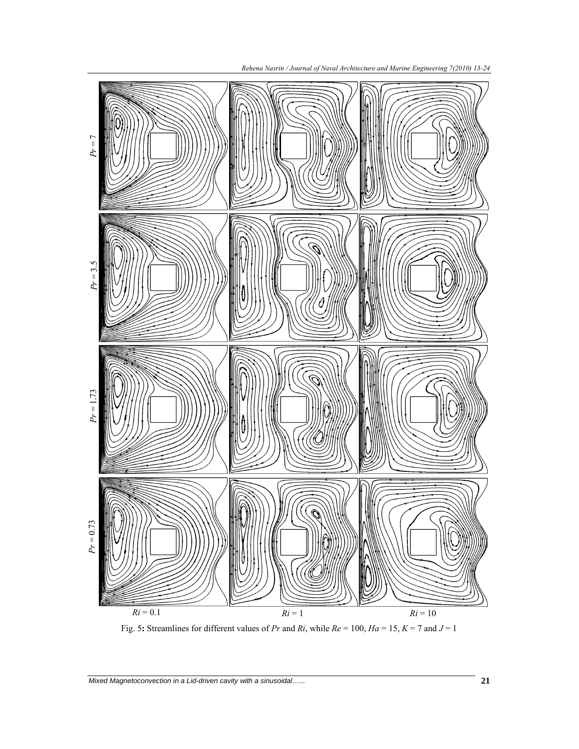

Fig. 5**:** Streamlines for different values of *Pr* and *Ri*, while *Re* = 100, *Ha* = 15, *K* = 7 and *J* = 1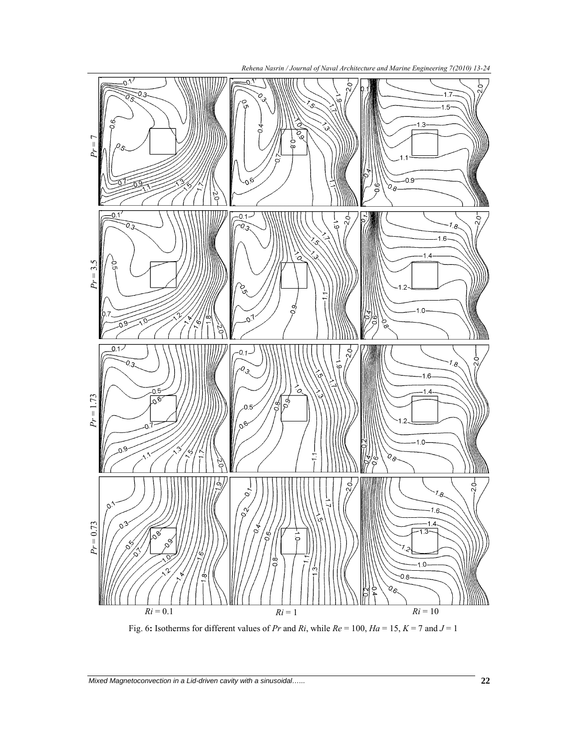

Fig. 6: Isotherms for different values of *Pr* and *Ri*, while  $Re = 100$ ,  $Ha = 15$ ,  $K = 7$  and  $J = 1$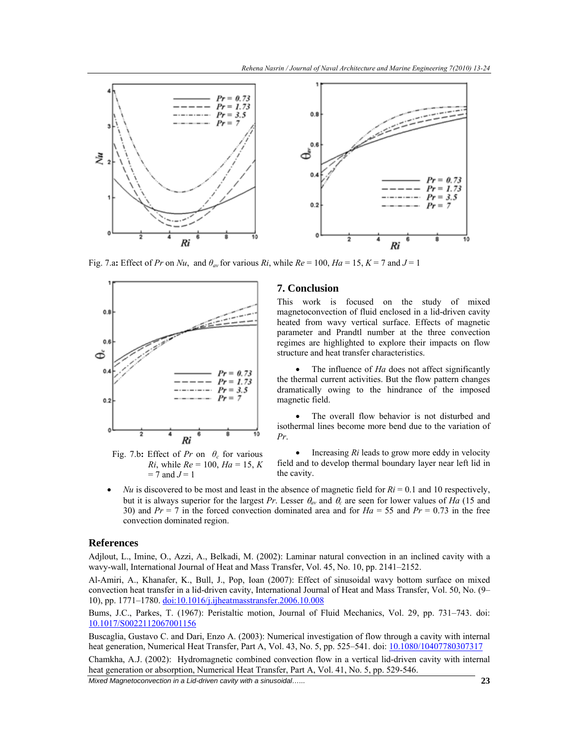

Fig. 7.a: Effect of *Pr* on *Nu*, and  $\theta_{av}$  for various *Ri*, while  $Re = 100$ ,  $Ha = 15$ ,  $K = 7$  and  $J = 1$ 



Fig. 7.b: Effect of  $Pr$  on  $\theta_c$  for various *Ri*, while *Re* = 100, *Ha* = 15, *K*  $= 7$  and  $J = 1$ 

# **7. Conclusion**

This work is focused on the study of mixed magnetoconvection of fluid enclosed in a lid-driven cavity heated from wavy vertical surface. Effects of magnetic parameter and Prandtl number at the three convection regimes are highlighted to explore their impacts on flow structure and heat transfer characteristics.

The influence of *Ha* does not affect significantly the thermal current activities. But the flow pattern changes dramatically owing to the hindrance of the imposed magnetic field.

• The overall flow behavior is not disturbed and isothermal lines become more bend due to the variation of *Pr*.

• Increasing *Ri* leads to grow more eddy in velocity field and to develop thermal boundary layer near left lid in the cavity.

*Nu* is discovered to be most and least in the absence of magnetic field for  $Ri = 0.1$  and 10 respectively, but it is always superior for the largest *Pr*. Lesser θ*av* and θ*c* are seen for lower values of *Ha* (15 and 30) and *Pr* = 7 in the forced convection dominated area and for *Ha* = 55 and *Pr* = 0.73 in the free convection dominated region.

#### **References**

Adjlout, L., Imine, O., Azzi, A., Belkadi, M. (2002): Laminar natural convection in an inclined cavity with a wavy-wall, International Journal of Heat and Mass Transfer, Vol. 45, No. 10, pp. 2141–2152.

Al-Amiri, A., Khanafer, K., Bull, J., Pop, Ioan (2007): Effect of sinusoidal wavy bottom surface on mixed convection heat transfer in a lid-driven cavity, International Journal of Heat and Mass Transfer, Vol. 50, No. (9– 10), pp. 1771–1780. doi:10.1016/j.ijheatmasstransfer.2006.10.008

Bums, J.C., Parkes, T. (1967): Peristaltic motion, Journal of Fluid Mechanics, Vol. 29, pp. 731–743. doi: 10.1017/S0022112067001156

Buscaglia, Gustavo C. and Dari, Enzo A. (2003): Numerical investigation of flow through a cavity with internal heat generation, Numerical Heat Transfer, Part A, Vol. 43, No. 5, pp. 525–541. doi: 10.1080/10407780307317

Chamkha, A.J. (2002): Hydromagnetic combined convection flow in a vertical lid-driven cavity with internal heat generation or absorption, Numerical Heat Transfer, Part A, Vol. 41, No. 5, pp. 529-546.